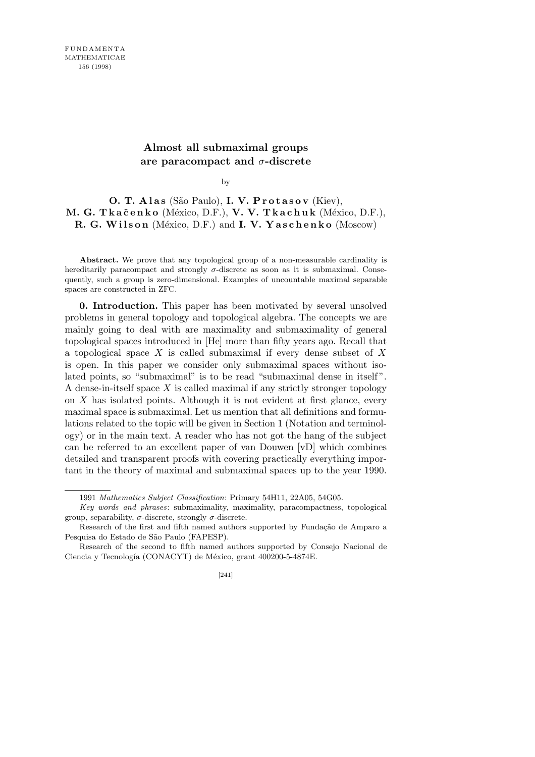## **Almost all submaximal groups are paracompact and** *σ***-discrete**

by

## **O. T. Alas** (São Paulo), **I. V. Protasov** (Kiev), **M. G. Tkačenko** (México, D.F.), **V. V. Tkachuk** (México, D.F.), **R. G. Wilson** (México, D.F.) and **I. V. Yaschenko** (Moscow)

**Abstract.** We prove that any topological group of a non-measurable cardinality is hereditarily paracompact and strongly  $\sigma$ -discrete as soon as it is submaximal. Consequently, such a group is zero-dimensional. Examples of uncountable maximal separable spaces are constructed in ZFC.

**0. Introduction.** This paper has been motivated by several unsolved problems in general topology and topological algebra. The concepts we are mainly going to deal with are maximality and submaximality of general topological spaces introduced in [He] more than fifty years ago. Recall that a topological space *X* is called submaximal if every dense subset of *X* is open. In this paper we consider only submaximal spaces without isolated points, so "submaximal" is to be read "submaximal dense in itself". A dense-in-itself space *X* is called maximal if any strictly stronger topology on *X* has isolated points. Although it is not evident at first glance, every maximal space is submaximal. Let us mention that all definitions and formulations related to the topic will be given in Section 1 (Notation and terminology) or in the main text. A reader who has not got the hang of the subject can be referred to an excellent paper of van Douwen [vD] which combines detailed and transparent proofs with covering practically everything important in the theory of maximal and submaximal spaces up to the year 1990.

<sup>1991</sup> *Mathematics Subject Classification*: Primary 54H11, 22A05, 54G05.

*Key words and phrases*: submaximality, maximality, paracompactness, topological group, separability, *σ*-discrete, strongly *σ*-discrete.

Research of the first and fifth named authors supported by Fundação de Amparo a Pesquisa do Estado de São Paulo (FAPESP).

Research of the second to fifth named authors supported by Consejo Nacional de Ciencia y Tecnología (CONACYT) de México, grant 400200-5-4874E.

<sup>[241]</sup>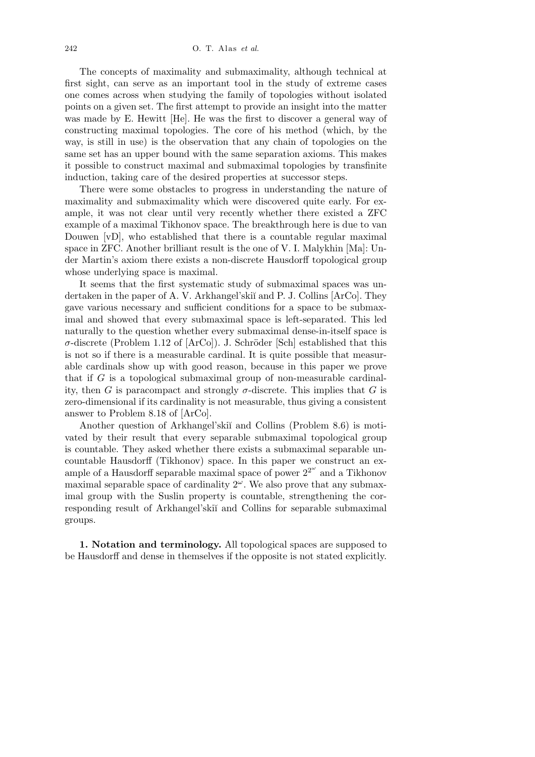The concepts of maximality and submaximality, although technical at first sight, can serve as an important tool in the study of extreme cases one comes across when studying the family of topologies without isolated points on a given set. The first attempt to provide an insight into the matter was made by E. Hewitt [He]. He was the first to discover a general way of constructing maximal topologies. The core of his method (which, by the way, is still in use) is the observation that any chain of topologies on the same set has an upper bound with the same separation axioms. This makes it possible to construct maximal and submaximal topologies by transfinite induction, taking care of the desired properties at successor steps.

There were some obstacles to progress in understanding the nature of maximality and submaximality which were discovered quite early. For example, it was not clear until very recently whether there existed a ZFC example of a maximal Tikhonov space. The breakthrough here is due to van Douwen [vD], who established that there is a countable regular maximal space in ZFC. Another brilliant result is the one of V. I. Malykhin [Ma]: Under Martin's axiom there exists a non-discrete Hausdorff topological group whose underlying space is maximal.

It seems that the first systematic study of submaximal spaces was undertaken in the paper of A. V. Arkhangel'skiï and P. J. Collins [ArCo]. They gave various necessary and sufficient conditions for a space to be submaximal and showed that every submaximal space is left-separated. This led naturally to the question whether every submaximal dense-in-itself space is  $\sigma$ -discrete (Problem 1.12 of [ArCo]). J. Schröder [Sch] established that this is not so if there is a measurable cardinal. It is quite possible that measurable cardinals show up with good reason, because in this paper we prove that if *G* is a topological submaximal group of non-measurable cardinality, then *G* is paracompact and strongly  $\sigma$ -discrete. This implies that *G* is zero-dimensional if its cardinality is not measurable, thus giving a consistent answer to Problem 8.18 of [ArCo].

Another question of Arkhangel'skiı̆ and Collins (Problem 8.6) is motivated by their result that every separable submaximal topological group is countable. They asked whether there exists a submaximal separable uncountable Hausdorff (Tikhonov) space. In this paper we construct an example of a Hausdorff separable maximal space of power  $2^{2^{\omega}}$  and a Tikhonov maximal separable space of cardinality  $2^{\omega}$ . We also prove that any submaximal group with the Suslin property is countable, strengthening the corresponding result of Arkhangel'skiĭ and Collins for separable submaximal groups.

**1. Notation and terminology.** All topological spaces are supposed to be Hausdorff and dense in themselves if the opposite is not stated explicitly.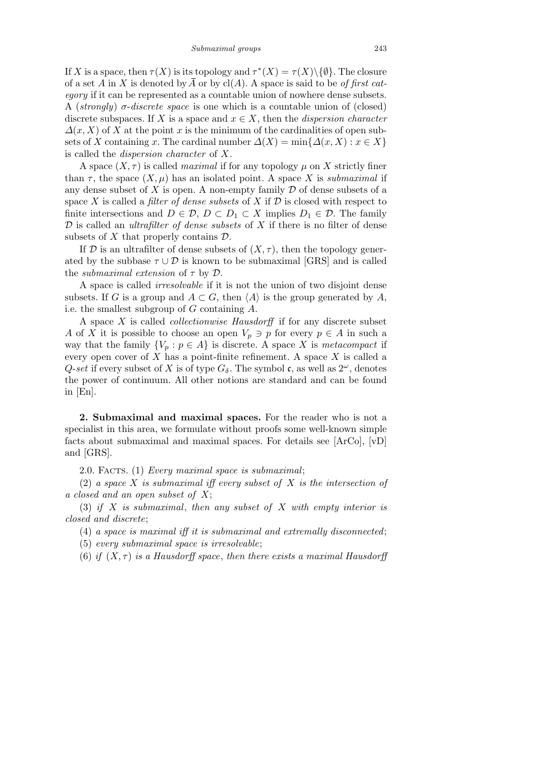If *X* is a space, then  $\tau(X)$  is its topology and  $\tau^*(X) = \tau(X) \setminus \{\emptyset\}$ . The closure of a set *A* in *X* is denoted by  $\overline{A}$  or by cl(*A*). A space is said to be *of first category* if it can be represented as a countable union of nowhere dense subsets. A (*strongly*) *σ*-*discrete space* is one which is a countable union of (closed) discrete subspaces. If *X* is a space and  $x \in X$ , then the *dispersion character*  $\Delta(x, X)$  of X at the point x is the minimum of the cardinalities of open subsets of *X* containing *x*. The cardinal number  $\Delta(X) = \min\{\Delta(x, X) : x \in X\}$ is called the *dispersion character* of *X*.

A space  $(X, \tau)$  is called *maximal* if for any topology  $\mu$  on X strictly finer than  $\tau$ , the space  $(X, \mu)$  has an isolated point. A space X is *submaximal* if any dense subset of  $X$  is open. A non-empty family  $D$  of dense subsets of a space *X* is called a *filter of dense subsets* of *X* if  $D$  is closed with respect to finite intersections and  $D \in \mathcal{D}$ ,  $D \subset D_1 \subset X$  implies  $D_1 \in \mathcal{D}$ . The family *D* is called an *ultrafilter of dense subsets* of *X* if there is no filter of dense subsets of *X* that properly contains *D*.

If  $D$  is an ultrafilter of dense subsets of  $(X, \tau)$ , then the topology generated by the subbase  $\tau \cup \mathcal{D}$  is known to be submaximal [GRS] and is called the *submaximal extension* of *τ* by *D*.

A space is called *irresolvable* if it is not the union of two disjoint dense subsets. If *G* is a group and  $A \subset G$ , then  $\langle A \rangle$  is the group generated by *A*, i.e. the smallest subgroup of *G* containing *A*.

A space *X* is called *collectionwise Hausdorff* if for any discrete subset *A* of *X* it is possible to choose an open  $V_p \ni p$  for every  $p \in A$  in such a way that the family  $\{V_p : p \in A\}$  is discrete. A space X is *metacompact* if every open cover of *X* has a point-finite refinement. A space *X* is called a *Q-set* if every subset of *X* is of type  $G_{\delta}$ . The symbol c, as well as  $2^{\omega}$ , denotes the power of continuum. All other notions are standard and can be found in [En].

**2. Submaximal and maximal spaces.** For the reader who is not a specialist in this area, we formulate without proofs some well-known simple facts about submaximal and maximal spaces. For details see [ArCo], [vD] and [GRS].

2.0. Facts. (1) *Every maximal space is submaximal*;

(2) *a space X is submaximal iff every subset of X is the intersection of a closed and an open subset of X*;

(3) *if X is submaximal*, *then any subset of X with empty interior is closed and discrete*;

(4) *a space is maximal iff it is submaximal and extremally disconnected*;

(5) *every submaximal space is irresolvable*;

(6) *if*  $(X, \tau)$  *is a Hausdorff space, then there exists a maximal Hausdorff*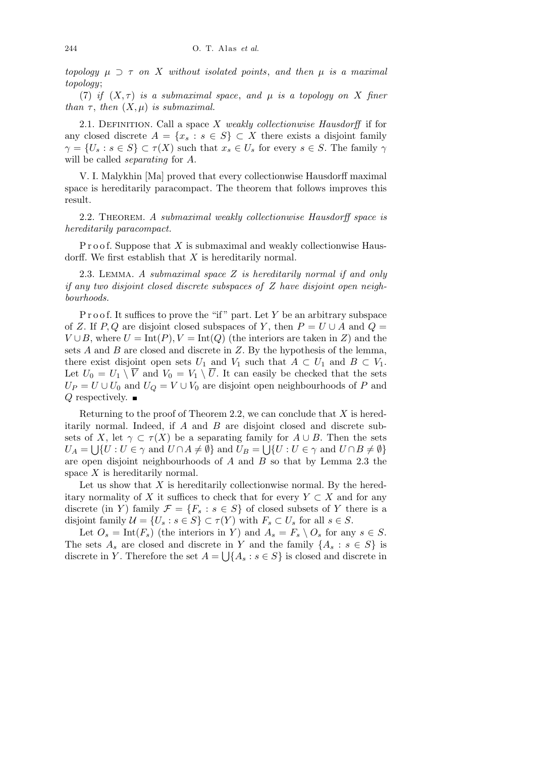$topology \mu \supset \tau$  *on X without isolated points*, and then  $\mu$  *is a maximal topology*;

(7) *if*  $(X, \tau)$  *is a submaximal space, and*  $\mu$  *is a topology on*  $X$  *finer than*  $\tau$ *, then*  $(X, \mu)$  *is submaximal.* 

2.1. Definition. Call a space *X weakly collectionwise Hausdorff* if for any closed discrete  $A = \{x_s : s \in S\} \subset X$  there exists a disjoint family  $\gamma = \{U_s : s \in S\} \subset \tau(X)$  such that  $x_s \in U_s$  for every  $s \in S$ . The family  $\gamma$ will be called *separating* for *A*.

V. I. Malykhin [Ma] proved that every collectionwise Hausdorff maximal space is hereditarily paracompact. The theorem that follows improves this result.

2.2. Theorem. *A submaximal weakly collectionwise Hausdorff space is hereditarily paracompact.*

P r o o f. Suppose that X is submaximal and weakly collectionwise Hausdorff. We first establish that *X* is hereditarily normal.

2.3. Lemma. *A submaximal space Z is hereditarily normal if and only if any two disjoint closed discrete subspaces of Z have disjoint open neighbourhoods.*

P r o o f. It suffices to prove the "if" part. Let Y be an arbitrary subspace of *Z*. If *P*, *Q* are disjoint closed subspaces of *Y*, then  $P = U \cup A$  and  $Q =$  $V \cup B$ , where  $U = \text{Int}(P)$ ,  $V = \text{Int}(Q)$  (the interiors are taken in *Z*) and the sets *A* and *B* are closed and discrete in *Z*. By the hypothesis of the lemma, there exist disjoint open sets  $U_1$  and  $V_1$  such that  $A \subset U_1$  and  $B \subset V_1$ . Let  $U_0 = U_1 \setminus \overline{V}$  and  $V_0 = V_1 \setminus \overline{U}$ . It can easily be checked that the sets  $U_P = U \cup U_0$  and  $U_Q = V \cup V_0$  are disjoint open neighbourhoods of *P* and *Q* respectively. ■

Returning to the proof of Theorem 2.2, we can conclude that *X* is hereditarily normal. Indeed, if *A* and *B* are disjoint closed and discrete subsets of *X*, let  $\gamma \subset \tau(X)$  be a separating family for  $A \cup B$ . Then the sets  $U_A = \bigcup \{ U : U \in \gamma \text{ and } U \cap A \neq \emptyset \}$  and  $U_B = \bigcup \{ U : U \in \gamma \text{ and } U \cap B \neq \emptyset \}$ are open disjoint neighbourhoods of *A* and *B* so that by Lemma 2.3 the space *X* is hereditarily normal.

Let us show that *X* is hereditarily collectionwise normal. By the hereditary normality of *X* it suffices to check that for every  $Y \subset X$  and for any discrete (in *Y*) family  $\mathcal{F} = \{F_s : s \in S\}$  of closed subsets of *Y* there is a disjoint family  $\mathcal{U} = \{U_s : s \in S\} \subset \tau(Y)$  with  $F_s \subset U_s$  for all  $s \in S$ .

Let  $O_s = \text{Int}(F_s)$  (the interiors in *Y*) and  $A_s = F_s \setminus O_s$  for any  $s \in S$ . The sets  $A_s$  are closed and discrete in *Y* and the family  $\{A_s : s \in S\}$  is discrete in *Y*. Therefore the set  $A = \bigcup \{A_s : s \in S\}$  is closed and discrete in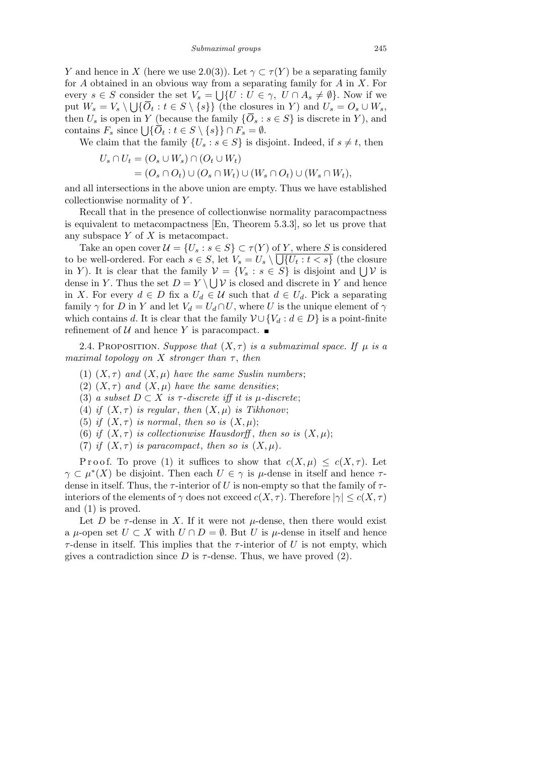*Y* and hence in *X* (here we use 2.0(3)). Let  $\gamma \subset \tau(Y)$  be a separating family for *A* obtained in an obvious way from a separating family for *A* in *X*. For every  $s \in S$  consider the set  $V_s = \bigcup \{ U : U \in \gamma, U \cap A_s \neq \emptyset \}$ . Now if we put  $W_s = V_s \setminus \bigcup \{ \overline{O}_t : t \in S \setminus \{s\} \}$  (the closures in Y) and  $U_s = O_s \cup W_s$ , then  $U_s$  is open in *Y* (because the family  ${\{\overline{O}_s : s \in S\}}$  is discrete in *Y*), and contains  $F_s$  since  $\bigcup \{ \overline{O}_t : t \in S \setminus \{s\} \} \cap F_s = \emptyset$ .

We claim that the family  ${U_s : s \in S}$  is disjoint. Indeed, if  $s \neq t$ , then

$$
U_s \cap U_t = (O_s \cup W_s) \cap (O_t \cup W_t)
$$
  
=  $(O_s \cap O_t) \cup (O_s \cap W_t) \cup (W_s \cap O_t) \cup (W_s \cap W_t),$ 

and all intersections in the above union are empty. Thus we have established collectionwise normality of *Y* .

Recall that in the presence of collectionwise normality paracompactness is equivalent to metacompactness [En, Theorem 5.3.3], so let us prove that any subspace *Y* of *X* is metacompact.

Take an open cover  $\mathcal{U} = \{U_s : s \in S\} \subset \tau(Y)$  of *Y*, where *S* is considered to be well-ordered. For each  $s \in S$ , let  $V_s = U_s \setminus \bigcup \{U_t : t < s\}$  (the closure in *Y*). It is clear that the family  $V = \{V_s : s \in S\}$  is disjoint and  $\bigcup V$  is dense in *Y*. Thus the set  $D = Y \setminus \bigcup Y$  is closed and discrete in *Y* and hence in *X*. For every *d* ∈ *D* fix a  $U_d$  ∈  $U$  such that  $d$  ∈  $U_d$ . Pick a separating family  $\gamma$  for *D* in *Y* and let  $V_d = U_d \cap U$ , where *U* is the unique element of  $\gamma$ which contains *d*. It is clear that the family  $\mathcal{V} \cup \{V_d : d \in D\}$  is a point-finite refinement of  $U$  and hence Y is paracompact.

2.4. PROPOSITION. *Suppose that*  $(X, \tau)$  *is a submaximal space. If*  $\mu$  *is a maximal topology on X stronger than τ* , *then*

- (1)  $(X, \tau)$  *and*  $(X, \mu)$  *have the same Suslin numbers*;
- (2)  $(X, \tau)$  *and*  $(X, \mu)$  *have the same densities*;
- (3) *a subset*  $D \subset X$  *is*  $\tau$ -discrete iff it is  $\mu$ -discrete;
- (4) *if*  $(X, \tau)$  *is regular, then*  $(X, \mu)$  *is Tikhonov*;
- (5) *if*  $(X, \tau)$  *is normal, then so is*  $(X, \mu)$ ;
- (6) *if*  $(X, \tau)$  *is collectionwise Hausdorff*, *then so is*  $(X, \mu)$ ;
- (7) *if*  $(X, \tau)$  *is paracompact*, *then so is*  $(X, \mu)$ *.*

Proof. To prove (1) it suffices to show that  $c(X, \mu) \leq c(X, \tau)$ . Let  $\gamma \subset \mu^*(X)$  be disjoint. Then each  $U \in \gamma$  is  $\mu$ -dense in itself and hence  $\tau$ dense in itself. Thus, the  $\tau$ -interior of *U* is non-empty so that the family of  $\tau$ interiors of the elements of  $\gamma$  does not exceed  $c(X, \tau)$ . Therefore  $|\gamma| \leq c(X, \tau)$ and (1) is proved.

Let *D* be  $\tau$ -dense in X. If it were not  $\mu$ -dense, then there would exist a  $\mu$ -open set  $U \subset X$  with  $U \cap D = \emptyset$ . But  $U$  is  $\mu$ -dense in itself and hence *τ*-dense in itself. This implies that the *τ*-interior of *U* is not empty, which gives a contradiction since  $D$  is  $\tau$ -dense. Thus, we have proved (2).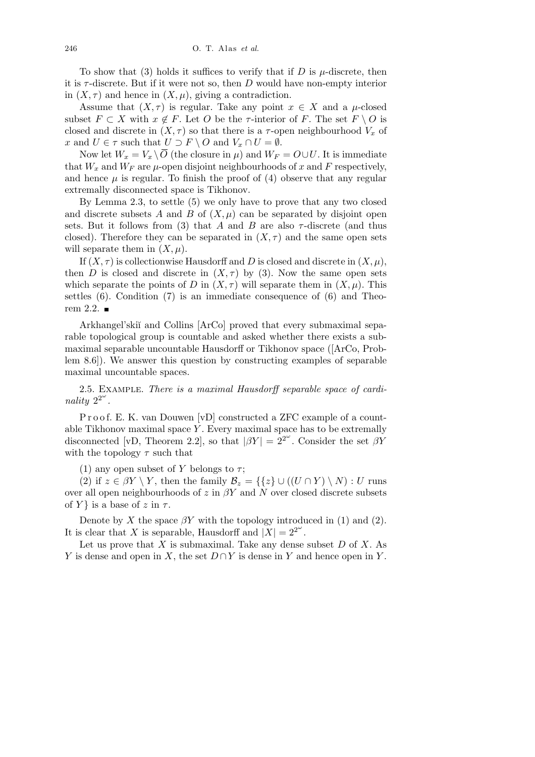To show that (3) holds it suffices to verify that if  $D$  is  $\mu$ -discrete, then it is *τ* -discrete. But if it were not so, then *D* would have non-empty interior in  $(X, \tau)$  and hence in  $(X, \mu)$ , giving a contradiction.

Assume that  $(X, \tau)$  is regular. Take any point  $x \in X$  and a  $\mu$ -closed subset  $F \subset X$  with  $x \notin F$ . Let  $O$  be the  $\tau$ -interior of  $F$ . The set  $F \setminus O$  is closed and discrete in  $(X, \tau)$  so that there is a  $\tau$ -open neighbourhood  $V_x$  of *x* and  $U \in \tau$  such that  $U \supset F \setminus O$  and  $V_x \cap U = \emptyset$ .

Now let  $W_x = V_x \setminus \overline{O}$  (the closure in  $\mu$ ) and  $W_F = O \cup U$ . It is immediate that  $W_x$  and  $W_F$  are  $\mu$ -open disjoint neighbourhoods of  $x$  and  $F$  respectively, and hence  $\mu$  is regular. To finish the proof of (4) observe that any regular extremally disconnected space is Tikhonov.

By Lemma 2.3, to settle (5) we only have to prove that any two closed and discrete subsets A and B of  $(X, \mu)$  can be separated by disjoint open sets. But it follows from (3) that *A* and *B* are also  $\tau$ -discrete (and thus closed). Therefore they can be separated in  $(X, \tau)$  and the same open sets will separate them in  $(X, \mu)$ .

If  $(X, \tau)$  is collectionwise Hausdorff and *D* is closed and discrete in  $(X, \mu)$ , then *D* is closed and discrete in  $(X, \tau)$  by (3). Now the same open sets which separate the points of *D* in  $(X, \tau)$  will separate them in  $(X, \mu)$ . This settles  $(6)$ . Condition  $(7)$  is an immediate consequence of  $(6)$  and Theorem 2.2.  $\blacksquare$ 

Arkhangel'skiï and Collins [ArCo] proved that every submaximal separable topological group is countable and asked whether there exists a submaximal separable uncountable Hausdorff or Tikhonov space ([ArCo, Problem 8.6]). We answer this question by constructing examples of separable maximal uncountable spaces.

2.5. Example. *There is a maximal Hausdorff separable space of cardinality*  $2^{2^{\omega}}$ *.* 

Proof. E. K. van Douwen [vD] constructed a ZFC example of a countable Tikhonov maximal space *Y* . Every maximal space has to be extremally disconnected [vD, Theorem 2.2], so that  $|\beta Y| = 2^{2^{\omega}}$ . Consider the set  $\beta Y$ with the topology *τ* such that

(1) any open subset of *Y* belongs to  $\tau$ ;

(2) if  $z \in \beta Y \setminus Y$ , then the family  $\mathcal{B}_z = \{\{z\} \cup ((U \cap Y) \setminus N) : U \text{ runs}$ over all open neighbourhoods of *z* in *βY* and *N* over closed discrete subsets of *Y* } is a base of *z* in  $\tau$ .

Denote by *X* the space  $\beta Y$  with the topology introduced in (1) and (2). It is clear that *X* is separable, Hausdorff and  $|\tilde{X}| = 2^{2^{\omega}}$ .

Let us prove that *X* is submaximal. Take any dense subset *D* of *X*. As *Y* is dense and open in *X*, the set *D* ∩ *Y* is dense in *Y* and hence open in *Y*.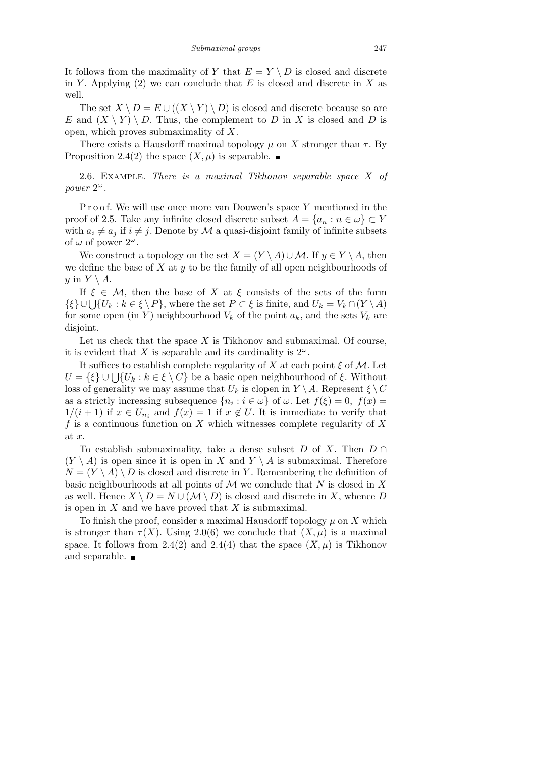It follows from the maximality of *Y* that  $E = Y \setminus D$  is closed and discrete in *Y*. Applying (2) we can conclude that  $E$  is closed and discrete in  $X$  as well.

The set  $X \setminus D = E \cup ((X \setminus Y) \setminus D)$  is closed and discrete because so are *E* and  $(X \ Y) \ D$ . Thus, the complement to *D* in *X* is closed and *D* is open, which proves submaximality of *X*.

There exists a Hausdorff maximal topology  $\mu$  on *X* stronger than  $\tau$ . By Proposition 2.4(2) the space  $(X, \mu)$  is separable.

2.6. Example. *There is a maximal Tikhonov separable space X of power* 2 *ω.*

Proof. We will use once more van Douwen's space Y mentioned in the proof of 2.5. Take any infinite closed discrete subset  $A = \{a_n : n \in \omega\} \subset Y$ with  $a_i \neq a_j$  if  $i \neq j$ . Denote by M a quasi-disjoint family of infinite subsets of  $\omega$  of power  $2^{\omega}$ .

We construct a topology on the set  $X = (Y \setminus A) \cup \mathcal{M}$ . If  $y \in Y \setminus A$ , then we define the base of *X* at *y* to be the family of all open neighbourhoods of *y* in  $Y \setminus A$ .

If  $\xi \in \mathcal{M}$ , then the base of *X* at  $\xi$  consists of the sets of the form If  $\xi \in \mathcal{M}$ , then the base of  $X$  at  $\xi$  consists of the sets of the form<br> $\{\xi\} \cup \bigcup \{U_k : k \in \xi \setminus P\}$ , where the set  $P \subset \xi$  is finite, and  $U_k = V_k \cap (Y \setminus A)$ for some open (in *Y*) neighbourhood  $V_k$  of the point  $a_k$ , and the sets  $V_k$  are disjoint.

Let us check that the space *X* is Tikhonov and submaximal. Of course, it is evident that *X* is separable and its cardinality is  $2^{\omega}$ .

It suffices to establish complete regularity of *X* at each point *ξ* of *M*. Let *U* =  $\{\xi\} \cup \bigcup \{U_k : k \in \xi \setminus C\}$  be a basic open neighbourhood of  $\xi$ . Without loss of generality we may assume that  $U_k$  is clopen in  $Y \setminus A$ . Represent  $\xi \setminus C$ as a strictly increasing subsequence  $\{n_i : i \in \omega\}$  of  $\omega$ . Let  $f(\xi) = 0$ ,  $f(x) =$  $1/(i+1)$  if  $x \in U_{n_i}$  and  $f(x) = 1$  if  $x \notin U$ . It is immediate to verify that *f* is a continuous function on *X* which witnesses complete regularity of *X* at *x*.

To establish submaximality, take a dense subset *D* of *X*. Then *D ∩*  $(Y \setminus A)$  is open since it is open in X and  $Y \setminus A$  is submaximal. Therefore  $N = (Y \setminus A) \setminus D$  is closed and discrete in *Y*. Remembering the definition of basic neighbourhoods at all points of *M* we conclude that *N* is closed in *X* as well. Hence  $X \setminus D = N \cup (\mathcal{M} \setminus D)$  is closed and discrete in *X*, whence *D* is open in *X* and we have proved that *X* is submaximal.

To finish the proof, consider a maximal Hausdorff topology  $\mu$  on  $X$  which is stronger than  $\tau(X)$ . Using 2.0(6) we conclude that  $(X, \mu)$  is a maximal space. It follows from 2.4(2) and 2.4(4) that the space  $(X, \mu)$  is Tikhonov and separable.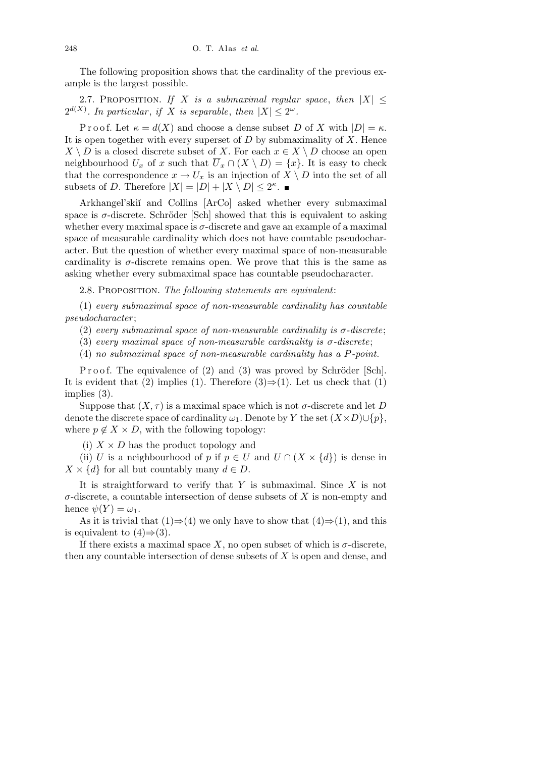The following proposition shows that the cardinality of the previous example is the largest possible.

2.7. PROPOSITION. *If X is a submaximal regular space*, *then*  $|X| \leq$  $2^{d(X)}$ . In particular, if *X* is separable, then  $|X| \leq 2^{\omega}$ .

P r o o f. Let  $\kappa = d(X)$  and choose a dense subset *D* of *X* with  $|D| = \kappa$ . It is open together with every superset of *D* by submaximality of *X*. Hence  $X \setminus D$  is a closed discrete subset of *X*. For each  $x \in X \setminus D$  choose an open neighbourhood  $U_x$  of *x* such that  $\overline{U}_x \cap (X \setminus D) = \{x\}$ . It is easy to check that the correspondence  $x \to U_x$  is an injection of  $X \setminus D$  into the set of all subsets of *D*. Therefore  $|X| = |D| + |X \setminus D| \leq 2^{\kappa}$ .

Arkhangel'skiï and Collins [ArCo] asked whether every submaximal space is  $\sigma$ -discrete. Schröder [Sch] showed that this is equivalent to asking whether every maximal space is  $\sigma$ -discrete and gave an example of a maximal space of measurable cardinality which does not have countable pseudocharacter. But the question of whether every maximal space of non-measurable cardinality is  $\sigma$ -discrete remains open. We prove that this is the same as asking whether every submaximal space has countable pseudocharacter.

2.8. Proposition. *The following statements are equivalent*:

(1) *every submaximal space of non-measurable cardinality has countable pseudocharacter* ;

(2) *every submaximal space of non-measurable cardinality is σ-discrete*;

(3) *every maximal space of non-measurable cardinality is*  $\sigma$ -discrete;

(4) *no submaximal space of non-measurable cardinality has a P-point.*

P r o o f. The equivalence of  $(2)$  and  $(3)$  was proved by Schröder [Sch]. It is evident that (2) implies (1). Therefore  $(3) \Rightarrow (1)$ . Let us check that (1) implies (3).

Suppose that  $(X, \tau)$  is a maximal space which is not  $\sigma$ -discrete and let *D* denote the discrete space of cardinality  $\omega_1$ . Denote by *Y* the set  $(X \times D) \cup \{p\}$ , where  $p \notin X \times D$ , with the following topology:

(i)  $X \times D$  has the product topology and

(ii) *U* is a neighbourhood of *p* if  $p \in U$  and  $U \cap (X \times \{d\})$  is dense in  $X \times \{d\}$  for all but countably many  $d \in D$ .

It is straightforward to verify that *Y* is submaximal. Since *X* is not *σ*-discrete, a countable intersection of dense subsets of *X* is non-empty and hence  $\psi(Y) = \omega_1$ .

As it is trivial that  $(1) \Rightarrow (4)$  we only have to show that  $(4) \Rightarrow (1)$ , and this is equivalent to  $(4) \Rightarrow (3)$ .

If there exists a maximal space X, no open subset of which is  $\sigma$ -discrete, then any countable intersection of dense subsets of *X* is open and dense, and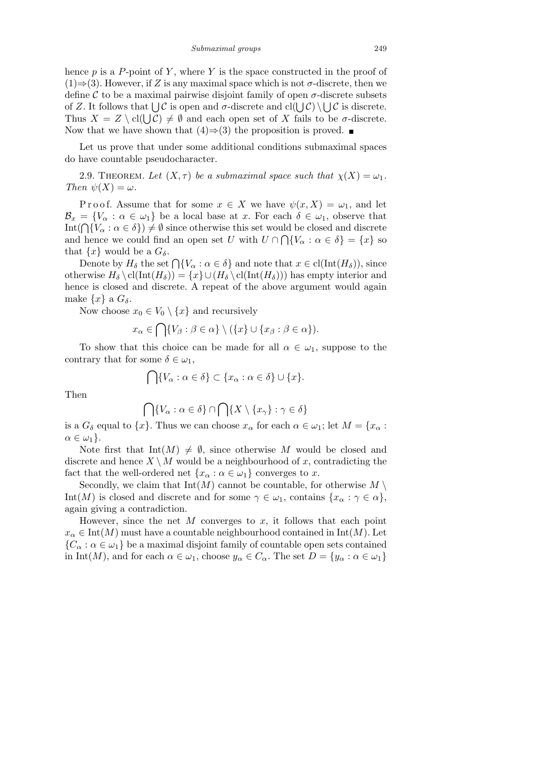hence  $p$  is a  $P$ -point of  $Y$ , where  $Y$  is the space constructed in the proof of (1)*⇒*(3). However, if *Z* is any maximal space which is not *σ*-discrete, then we define  $\mathcal C$  to be a maximal pairwise disjoint family of open  $\sigma$ -discrete subsets  $\alpha$  *C* is open and *σ*-discrete and cl( $\langle \cdot \rangle$  \cdots is discrete. Thus  $X = Z \setminus cl(\bigcup \mathcal{C}) \neq \emptyset$  and each open set of *X* fails to be *σ*-discrete. Now that we have shown that  $(4) \Rightarrow (3)$  the proposition is proved. ■

Let us prove that under some additional conditions submaximal spaces do have countable pseudocharacter.

2.9. THEOREM. Let  $(X, \tau)$  be a submaximal space such that  $\chi(X) = \omega_1$ . *Then*  $\psi(X) = \omega$ *.* 

Proof. Assume that for some  $x \in X$  we have  $\psi(x, X) = \omega_1$ , and let  $\mathcal{B}_x = \{V_\alpha : \alpha \in \omega_1\}$  be a local base at *x*. For each  $\delta \in \omega_1$ , observe that  $\mathcal{D}_x = \{V_\alpha : \alpha \in \mathcal{D}_1\}$  be a local base at *x*. For each  $\delta \in \mathcal{D}_1$ , observe that  $\text{Int}(\bigcap \{V_\alpha : \alpha \in \delta\}) \neq \emptyset$  since otherwise this set would be closed and discrete and hence we could find an open set *U* with  $U \cap \bigcap \{V_\alpha : \alpha \in \delta\} = \{x\}$  so that  $\{x\}$  would be a  $G_{\delta}$ .

Denote by  $H_{\delta}$  the set  $\bigcap \{V_{\alpha} : \alpha \in \delta\}$  and note that  $x \in \text{cl}(\text{Int}(H_{\delta}))$ , since otherwise  $H_\delta \backslash cl(\text{Int}(H_\delta)) = \{x\} \cup (H_\delta \backslash cl(\text{Int}(H_\delta)))$  has empty interior and hence is closed and discrete. A repeat of the above argument would again make  $\{x\}$  a  $G_{\delta}$ .

Now choose  $x_0 \in V_0 \setminus \{x\}$  and recursively

$$
x_{\alpha} \in \bigcap \{V_{\beta} : \beta \in \alpha\} \setminus (\{x\} \cup \{x_{\beta} : \beta \in \alpha\}).
$$

To show that this choice can be made for all  $\alpha \in \omega_1$ , suppose to the contrary that for some  $\delta \in \omega_1$ ,

$$
\bigcap \{V_{\alpha} : \alpha \in \delta\} \subset \{x_{\alpha} : \alpha \in \delta\} \cup \{x\}.
$$

Then

$$
\bigcap \{V_{\alpha} : \alpha \in \delta\} \cap \bigcap \{X \setminus \{x_{\gamma}\} : \gamma \in \delta\}
$$

is a  $G_{\delta}$  equal to  $\{x\}$ . Thus we can choose  $x_{\alpha}$  for each  $\alpha \in \omega_1$ ; let  $M = \{x_{\alpha} :$  $\alpha \in \omega_1$ .

Note first that  $Int(M) \neq \emptyset$ , since otherwise M would be closed and discrete and hence  $X \setminus M$  would be a neighbourhood of x, contradicting the fact that the well-ordered net  $\{x_\alpha : \alpha \in \omega_1\}$  converges to *x*.

Secondly, we claim that  $Int(M)$  cannot be countable, for otherwise  $M \setminus$ Int(*M*) is closed and discrete and for some  $\gamma \in \omega_1$ , contains  $\{x_\alpha : \gamma \in \alpha\}$ , again giving a contradiction.

However, since the net *M* converges to *x*, it follows that each point  $x_{\alpha} \in \text{Int}(M)$  must have a countable neighbourhood contained in  $\text{Int}(M)$ . Let  ${C_\alpha : \alpha \in \omega_1}$  be a maximal disjoint family of countable open sets contained in Int(*M*), and for each  $\alpha \in \omega_1$ , choose  $y_\alpha \in C_\alpha$ . The set  $D = \{y_\alpha : \alpha \in \omega_1\}$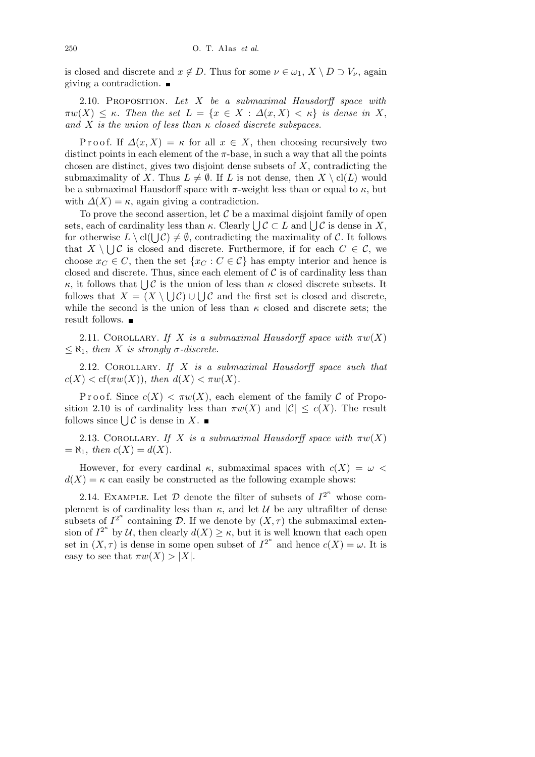is closed and discrete and  $x \notin D$ . Thus for some  $\nu \in \omega_1$ ,  $X \setminus D \supset V_\nu$ , again giving a contradiction.

2.10. Proposition. *Let X be a submaximal Hausdorff space with*  $\pi w(X) \leq \kappa$ . Then the set  $L = \{x \in X : \Delta(x,X) < \kappa\}$  is dense in X, *and X is the union of less than κ closed discrete subspaces.*

Proof. If  $\Delta(x, X) = \kappa$  for all  $x \in X$ , then choosing recursively two distinct points in each element of the  $\pi$ -base, in such a way that all the points chosen are distinct, gives two disjoint dense subsets of *X*, contradicting the submaximality of *X*. Thus  $L \neq \emptyset$ . If *L* is not dense, then  $X \setminus cl(L)$  would be a submaximal Hausdorff space with  $\pi$ -weight less than or equal to  $\kappa$ , but with  $\Delta(X) = \kappa$ , again giving a contradiction.

To prove the second assertion, let *C* be a maximal disjoint family of open **Example 18** a maximal disjoint lamily of open sets, each of cardinality less than *κ*. Clearly  $\bigcup$  *C* ⊂ *L* and  $\bigcup$  *C* is dense in *X*, for otherwise  $L \setminus cl(\bigcup \mathcal{C}) \neq \emptyset$ , contradicting the maximality of  $\mathcal{C}$ . It follows that  $X \setminus \bigcup \mathcal{C}$  is closed and discrete. Furthermore, if for each  $C \in \mathcal{C}$ , we choose  $x_C \in C$ , then the set  $\{x_C : C \in C\}$  has empty interior and hence is closed and discrete. Thus, since each element of  $\mathcal C$  is of cardinality less than *κ*, it follows that  $\bigcup \mathcal{C}$  is the union of less than *κ* closed discrete subsets. It follows that  $X = (X \setminus \bigcup \mathcal{C}) \cup \bigcup \mathcal{C}$  and the first set is closed and discrete, while the second is the union of less than  $\kappa$  closed and discrete sets; the result follows.  $\blacksquare$ 

2.11. COROLLARY. *If X is a submaximal Hausdorff space with*  $\pi w(X)$  $\leq \aleph_1$ , *then X is strongly*  $\sigma$ -discrete.

2.12. Corollary. *If X is a submaximal Hausdorff space such that*  $c(X) < cf(\pi w(X))$ , *then*  $d(X) < \pi w(X)$ .

Proof. Since  $c(X) < \pi w(X)$ , each element of the family C of Proposition 2.10 is of cardinality less than  $\pi w(X)$  and  $|\mathcal{C}| \leq c(X)$ . The result strion 2.10 is of cardinality less<br>follows since  $\bigcup \mathcal{C}$  is dense in X.

2.13. COROLLARY. *If X is a submaximal Hausdorff space with*  $\pi w(X)$  $= \aleph_1$ , *then*  $c(X) = d(X)$ .

However, for every cardinal  $\kappa$ , submaximal spaces with  $c(X) = \omega$  $d(X) = \kappa$  can easily be constructed as the following example shows:

2.14. EXAMPLE. Let  $D$  denote the filter of subsets of  $I^{2^k}$  whose complement is of cardinality less than  $\kappa$ , and let  $\mathcal U$  be any ultrafilter of dense subsets of  $I^{2^{\kappa}}$  containing *D*. If we denote by  $(X, \tau)$  the submaximal extension of  $I^{2^{\kappa}}$  by *U*, then clearly  $d(X) \geq \kappa$ , but it is well known that each open set in  $(X, \tau)$  is dense in some open subset of  $I^{2^k}$  and hence  $c(X) = \omega$ . It is easy to see that  $\pi w(X) > |X|$ .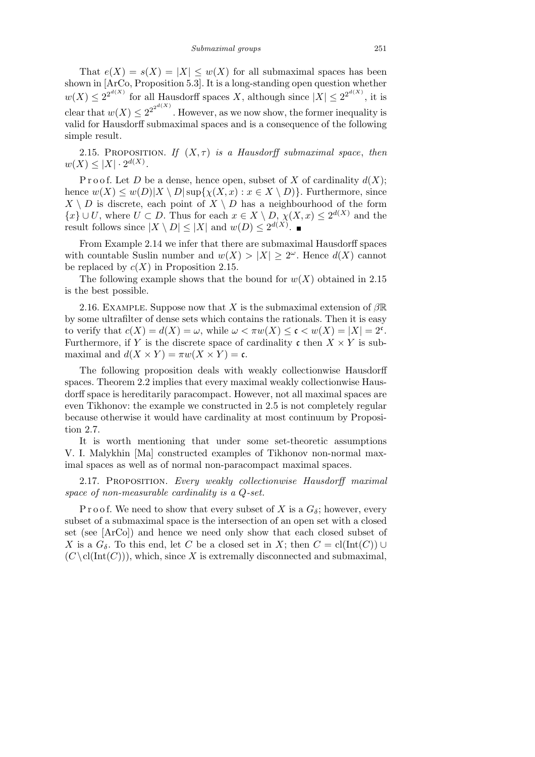That  $e(X) = s(X) = |X| \leq w(X)$  for all submaximal spaces has been shown in [ArCo, Proposition 5.3]. It is a long-standing open question whether  $w(X) \leq 2^{2^{d(X)}}$  for all Hausdorff spaces *X*, although since  $|X| \leq 2^{2^{d(X)}}$ , it is clear that  $w(X) \leq 2^{2^{2^{d(X)}}}$ . However, as we now show, the former inequality is valid for Hausdorff submaximal spaces and is a consequence of the following simple result.

2.15. PROPOSITION. *If*  $(X, \tau)$  *is a Hausdorff submaximal space, then*  $w(X) \leq |X| \cdot 2^{d(X)}$ .

P r o o f. Let D be a dense, hence open, subset of X of cardinality  $d(X)$ ; hence  $w(X) \leq w(D)|X \setminus D| \sup\{\chi(X,x) : x \in X \setminus D\}$ . Furthermore, since  $X \setminus D$  is discrete, each point of  $X \setminus D$  has a neighbourhood of the form *{x} ∪ U*, where *U* ⊂ *D*. Thus for each  $x \in X \setminus D$ ,  $\chi(X, x) \leq 2^{d(X)}$  and the result follows since  $|X \setminus D| \leq |X|$  and  $w(D) \leq 2^{d(X)}$ .

From Example 2.14 we infer that there are submaximal Hausdorff spaces with countable Suslin number and  $w(X) > |X| \geq 2^{\omega}$ . Hence  $d(X)$  cannot be replaced by  $c(X)$  in Proposition 2.15.

The following example shows that the bound for  $w(X)$  obtained in 2.15 is the best possible.

2.16. Example. Suppose now that *X* is the submaximal extension of *β*R by some ultrafilter of dense sets which contains the rationals. Then it is easy to verify that  $c(X) = d(X) = \omega$ , while  $\omega < \pi w(X) \leq \mathfrak{c} < w(X) = |X| = 2^{\mathfrak{c}}$ . Furthermore, if *Y* is the discrete space of cardinality c then  $X \times Y$  is submaximal and  $d(X \times Y) = \pi w(X \times Y) = c$ .

The following proposition deals with weakly collectionwise Hausdorff spaces. Theorem 2.2 implies that every maximal weakly collectionwise Hausdorff space is hereditarily paracompact. However, not all maximal spaces are even Tikhonov: the example we constructed in 2.5 is not completely regular because otherwise it would have cardinality at most continuum by Proposition 2.7.

It is worth mentioning that under some set-theoretic assumptions V. I. Malykhin [Ma] constructed examples of Tikhonov non-normal maximal spaces as well as of normal non-paracompact maximal spaces.

2.17. Proposition. *Every weakly collectionwise Hausdorff maximal space of non-measurable cardinality is a Q-set.*

P r o o f. We need to show that every subset of X is a  $G_{\delta}$ ; however, every subset of a submaximal space is the intersection of an open set with a closed set (see [ArCo]) and hence we need only show that each closed subset of *X* is a  $G_{\delta}$ . To this end, let *C* be a closed set in *X*; then  $C = \text{cl}(\text{Int}(C)) \cup$  $(C \setminus \text{cl}(\text{Int}(C)))$ , which, since X is extremally disconnected and submaximal,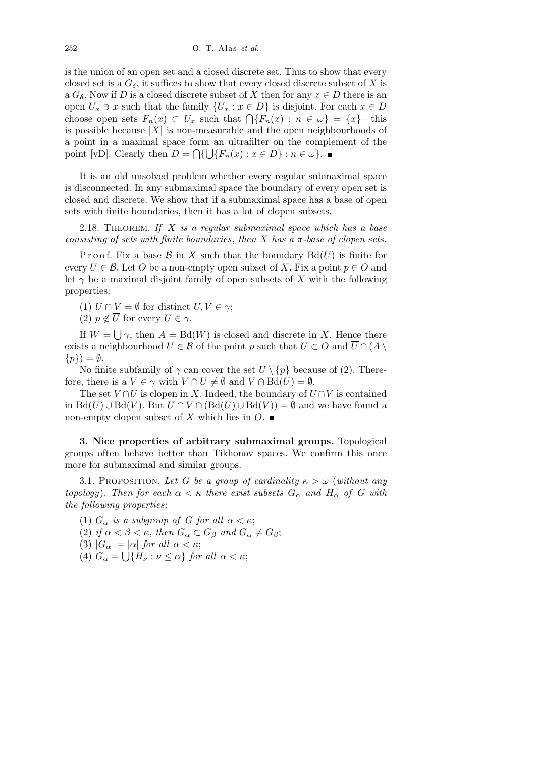is the union of an open set and a closed discrete set. Thus to show that every closed set is a  $G_{\delta}$ , it suffices to show that every closed discrete subset of *X* is a  $G_{\delta}$ . Now if *D* is a closed discrete subset of *X* then for any  $x \in D$  there is an open  $U_x \ni x$  such that the family  $\{U_x : x \in D\}$  is disjoint. For each  $x \in D$ choose open sets  $F_n(x) \subset U_x$  such that  $\bigcap \{F_n(x) : n \in \omega\} = \{x\}$ —this is possible because *|X|* is non-measurable and the open neighbourhoods of a point in a maximal space form an ultrafilter on the complement of the point [vD]. Clearly then  $D = \bigcap \{ \bigcup \{ F_n(x) : x \in D \} : n \in \omega \}.$ 

It is an old unsolved problem whether every regular submaximal space is disconnected. In any submaximal space the boundary of every open set is closed and discrete. We show that if a submaximal space has a base of open sets with finite boundaries, then it has a lot of clopen subsets.

2.18. Theorem. *If X is a regular submaximal space which has a base consisting of sets with finite boundaries*, *then X has a π-base of clopen sets.*

Proof. Fix a base  $\mathcal{B}$  in X such that the boundary  $Bd(U)$  is finite for every  $U \in \mathcal{B}$ . Let O be a non-empty open subset of X. Fix a point  $p \in O$  and let  $\gamma$  be a maximal disjoint family of open subsets of X with the following properties:

(1)  $\overline{U} \cap \overline{V} = \emptyset$  for distinct  $U, V \in \gamma$ ;

(2)  $p \notin \overline{U}$  for every  $U \in \gamma$ . S

If  $W =$ *γ*, then  $A = Bd(W)$  is closed and discrete in *X*. Hence there exists a neighbourhood  $U \in \mathcal{B}$  of the point p such that  $U \subset O$  and  $\overline{U} \cap (A \setminus \overline{U})$  $\{p\}$ ) =  $\emptyset$ .

No finite subfamily of  $\gamma$  can cover the set  $U \setminus \{p\}$  because of (2). Therefore, there is a  $V \in \gamma$  with  $V \cap U \neq \emptyset$  and  $V \cap \text{Bd}(U) = \emptyset$ .

The set  $V \cap U$  is clopen in *X*. Indeed, the boundary of  $U \cap V$  is contained in Bd(*U*) ∪ Bd(*V*). But  $U \cap V \cap (Bd(U) \cup Bd(V)) = \emptyset$  and we have found a non-empty clopen subset of *X* which lies in  $O$ .

**3. Nice properties of arbitrary submaximal groups.** Topological groups often behave better than Tikhonov spaces. We confirm this once more for submaximal and similar groups.

3.1. PROPOSITION. Let G be a group of cardinality  $\kappa > \omega$  (without any *topology*)*. Then for each*  $\alpha < \kappa$  *there exist subsets*  $G_{\alpha}$  *and*  $H_{\alpha}$  *of G with the following properties*:

- (1)  $G_{\alpha}$  *is a subgroup of G for all*  $\alpha < \kappa$ ;
- (2) *if*  $\alpha < \beta < \kappa$ , *then*  $G_{\alpha} \subset G_{\beta}$  *and*  $G_{\alpha} \neq G_{\beta}$ ;
- (3)  $|G_{\alpha}| = |\alpha|$  *for all*  $\alpha < \kappa$ ;
- (4)  $G_{\alpha} = \bigcup \{ H_{\nu} : \nu \leq \alpha \}$  *for all*  $\alpha < \kappa$ ;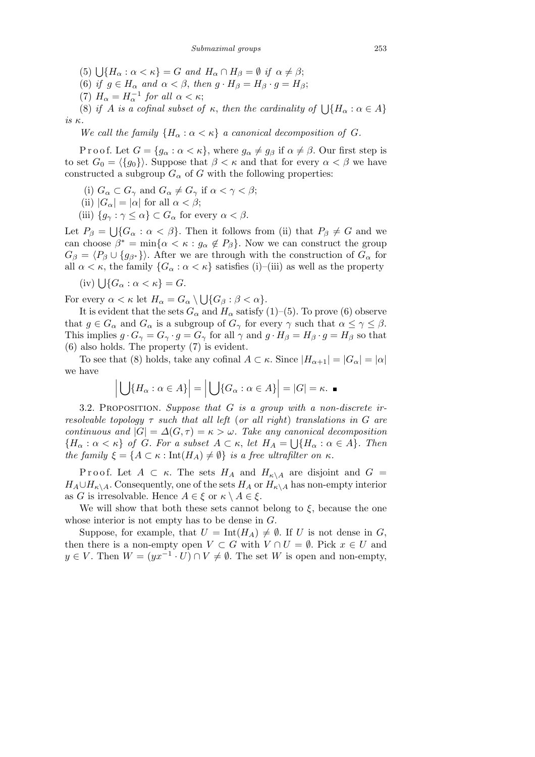$(5) \bigcup \{ H_\alpha : \alpha < \kappa \} = G \text{ and } H_\alpha \cap H_\beta = \emptyset \text{ if } \alpha \neq \beta;$ 

(6) *if*  $g \in H_\alpha$  *and*  $\alpha < \beta$ , *then*  $g \cdot H_\beta = H_\beta \cdot g = H_\beta$ ;

(7)  $H_{\alpha} = H_{\alpha}^{-1}$  *for all*  $\alpha < \kappa$ ;

(b)  $H_{\alpha} - H_{\alpha}$  for all  $\alpha < \kappa$ ,<br>
(8) if *A* is a cofinal subset of  $\kappa$ , then the cardinality of  $\bigcup \{H_{\alpha} : \alpha \in A\}$ *is κ.*

*We call the family*  ${H_{\alpha} : \alpha < \kappa}$  *a canonical decomposition of G.* 

Proof. Let  $G = \{g_\alpha : \alpha < \kappa\}$ , where  $g_\alpha \neq g_\beta$  if  $\alpha \neq \beta$ . Our first step is to set  $G_0 = \langle \{g_0\} \rangle$ . Suppose that  $\beta < \kappa$  and that for every  $\alpha < \beta$  we have constructed a subgroup  $G_\alpha$  of *G* with the following properties:

- (i)  $G_{\alpha} \subset G_{\gamma}$  and  $G_{\alpha} \neq G_{\gamma}$  if  $\alpha < \gamma < \beta$ ;
- (ii)  $|G_{\alpha}| = |\alpha|$  for all  $\alpha < \beta$ ;
- (iii)  ${g_{\gamma} : \gamma \leq \alpha} \subset G_{\alpha}$  for every  $\alpha < \beta$ .

Let  $P_\beta =$  $\overline{\phantom{a}}$  ${G_{\alpha} : \alpha < \beta}$ . Then it follows from (ii) that  $P_{\beta} \neq G$  and we can choose  $\beta^* = \min\{\alpha < \kappa : g_\alpha \notin P_\beta\}$ . Now we can construct the group  $G_{\beta} = \langle P_{\beta} \cup \{g_{\beta^*}\}\rangle$ . After we are through with the construction of  $G_{\alpha}$  for all  $\alpha < \kappa$ , the family  $\{G_\alpha : \alpha < \kappa\}$  satisfies (i)–(iii) as well as the property

(iv) 
$$
\bigcup \{ G_{\alpha} : \alpha < \kappa \} = G.
$$

For every  $\alpha < \kappa$  let  $H_{\alpha} = G_{\alpha} \setminus$ S  ${G_{\beta} : \beta < \alpha}.$ 

It is evident that the sets  $G_{\alpha}$  and  $H_{\alpha}$  satisfy (1)–(5). To prove (6) observe that  $g \in G_\alpha$  and  $G_\alpha$  is a subgroup of  $G_\gamma$  for every  $\gamma$  such that  $\alpha \leq \gamma \leq \beta$ . This implies  $g \cdot G_\gamma = G_\gamma \cdot g = G_\gamma$  for all  $\gamma$  and  $g \cdot H_\beta = H_\beta \cdot g = H_\beta$  so that (6) also holds. The property (7) is evident.

To see that (8) holds, take any cofinal  $A \subset \kappa$ . Since  $|H_{\alpha+1}| = |G_{\alpha}| = |\alpha|$ we have l, l,  $\overline{1}$  $\overline{1}$ 

$$
\left| \bigcup \{ H_{\alpha} : \alpha \in A \} \right| = \left| \bigcup \{ G_{\alpha} : \alpha \in A \} \right| = |G| = \kappa. \blacksquare
$$

3.2. Proposition. *Suppose that G is a group with a non-discrete irresolvable topology τ such that all left* (*or all right*) *translations in G are continuous and*  $|G| = \Delta(G, \tau) = \kappa > \omega$ . Take any canonical decomposition  ${H_{\alpha} : \alpha < \kappa}$  *of G. For a subset*  $A \subset \kappa$ *, let*  $H_A = \bigcup {H_{\alpha} : \alpha \in A}$ *. Then the family*  $\xi = \{A \subset \kappa : \text{Int}(H_A) \neq \emptyset\}$  *is a free ultrafilter on*  $\kappa$ *.* 

Proof. Let  $A \subset \kappa$ . The sets  $H_A$  and  $H_{\kappa \setminus A}$  are disjoint and  $G =$  $H_A \cup H_{\kappa} \setminus A$ . Consequently, one of the sets  $H_A$  or  $H_{\kappa} \setminus A$  has non-empty interior as *G* is irresolvable. Hence  $A \in \xi$  or  $\kappa \setminus A \in \xi$ .

We will show that both these sets cannot belong to  $\xi$ , because the one whose interior is not empty has to be dense in *G*.

Suppose, for example, that  $U = \text{Int}(H_A) \neq \emptyset$ . If *U* is not dense in *G*, then there is a non-empty open  $V \subset G$  with  $V \cap U = \emptyset$ . Pick  $x \in U$  and  $y \in V$ . Then  $W = (yx^{-1} \cdot U) \cap V \neq \emptyset$ . The set *W* is open and non-empty,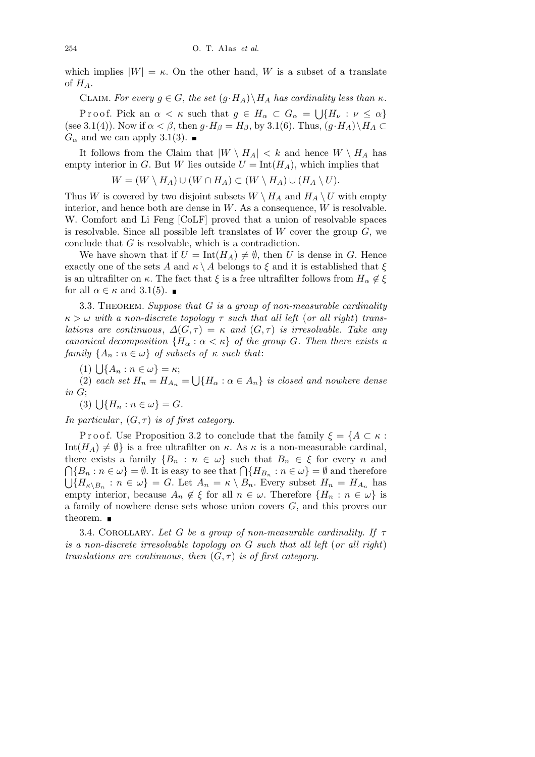which implies  $|W| = \kappa$ . On the other hand, *W* is a subset of a translate of *HA*.

CLAIM. For every  $g \in G$ , the set  $(g \cdot H_A) \setminus H_A$  has cardinality less than  $\kappa$ .

Proof. Pick an  $\alpha < \kappa$  such that  $g \in H_\alpha \subset G_\alpha$  = S *{H<sup>ν</sup>* : *ν ≤ α}* (see 3.1(4)). Now if  $\alpha < \beta$ , then  $g \cdot H_{\beta} = H_{\beta}$ , by 3.1(6). Thus,  $(g \cdot H_A) \setminus H_A \subset$  $G_α$  and we can apply 3.1(3). ■

It follows from the Claim that  $|W \setminus H_A| < k$  and hence  $W \setminus H_A$  has empty interior in *G*. But *W* lies outside  $U = \text{Int}(H_A)$ , which implies that

$$
W = (W \setminus H_A) \cup (W \cap H_A) \subset (W \setminus H_A) \cup (H_A \setminus U).
$$

Thus *W* is covered by two disjoint subsets  $W \setminus H_A$  and  $H_A \setminus U$  with empty interior, and hence both are dense in *W*. As a consequence, *W* is resolvable. W. Comfort and Li Feng [CoLF] proved that a union of resolvable spaces is resolvable. Since all possible left translates of *W* cover the group *G*, we conclude that *G* is resolvable, which is a contradiction.

We have shown that if  $U = \text{Int}(H_A) \neq \emptyset$ , then *U* is dense in *G*. Hence exactly one of the sets *A* and  $\kappa \setminus A$  belongs to  $\xi$  and it is established that  $\xi$ is an ultrafilter on  $\kappa$ . The fact that  $\xi$  is a free ultrafilter follows from  $H_{\alpha} \notin \xi$ for all  $\alpha \in \kappa$  and 3.1(5).

3.3. Theorem. *Suppose that G is a group of non-measurable cardinality κ > ω with a non-discrete topology τ such that all left* (*or all right*) *translations are continuous,*  $\Delta(G, \tau) = \kappa$  *and*  $(G, \tau)$  *is irresolvable. Take any canonical decomposition*  ${H_\alpha : \alpha < \kappa}$  *of the group G. Then there exists a family*  $\{A_n : n \in \omega\}$  *of subsets of*  $\kappa$  *such that*:

 $(1) \bigcup \{A_n : n \in \omega\} = \kappa;$ 

 $(2)$  *each set*  $H_n = H_{A_n} =$ S  ${H_{\alpha} : \alpha \in A_n}$  *is closed and nowhere dense*  $\begin{array}{c}$ *in G*;<br>(3)  $\bigcup$ 

$$
(3) \bigcup \{H_n : n \in \omega\} = G.
$$

*In particular*,  $(G, \tau)$  *is of first category.* 

Proof. Use Proposition 3.2 to conclude that the family  $\xi = \{A \subset \kappa :$ Int $(H_A) \neq \emptyset$  is a free ultrafilter on *κ*. As *κ* is a non-measurable cardinal, there exists a family  ${B_n : n \in \omega}$  such that  $B_n \in \xi$  for every *n* and  ${P_n : n \in \omega} \in \mathbb{R}$ . It is easy to see that  ${P_n \in \Omega} \in \mathbb{R}$  and therefore  ${H_{\kappa\setminus B_n}: n \in \omega} = G$ . Let  $A_n = \kappa \setminus B_n$ . Every subset  $H_n = H_{A_n}$  has empty interior, because  $A_n \notin \xi$  for all  $n \in \omega$ . Therefore  $\{H_n : n \in \omega\}$  is a family of nowhere dense sets whose union covers *G*, and this proves our theorem. ■

3.4. Corollary. *Let G be a group of non-measurable cardinality. If τ is a non-discrete irresolvable topology on G such that all left* (*or all right*) *translations are continuous, then*  $(G, \tau)$  *is of first category.*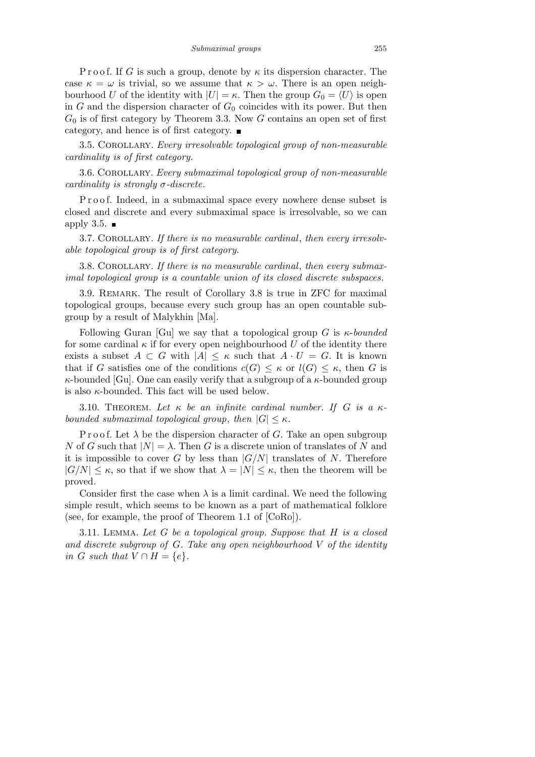P r o o f. If *G* is such a group, denote by  $\kappa$  its dispersion character. The case  $\kappa = \omega$  is trivial, so we assume that  $\kappa > \omega$ . There is an open neighbourhood *U* of the identity with  $|U| = \kappa$ . Then the group  $G_0 = \langle U \rangle$  is open in  $G$  and the dispersion character of  $G_0$  coincides with its power. But then *G*<sup>0</sup> is of first category by Theorem 3.3. Now *G* contains an open set of first category, and hence is of first category.

3.5. Corollary. *Every irresolvable topological group of non-measurable cardinality is of first category.*

3.6. Corollary. *Every submaximal topological group of non-measurable cardinality is strongly σ-discrete.*

Proof. Indeed, in a submaximal space every nowhere dense subset is closed and discrete and every submaximal space is irresolvable, so we can apply 3.5.  $\blacksquare$ 

3.7. Corollary. *If there is no measurable cardinal*, *then every irresolvable topological group is of first category.*

3.8. Corollary. *If there is no measurable cardinal*, *then every submaximal topological group is a countable union of its closed discrete subspaces.*

3.9. REMARK. The result of Corollary 3.8 is true in ZFC for maximal topological groups, because every such group has an open countable subgroup by a result of Malykhin [Ma].

Following Guran [Gu] we say that a topological group *G* is *κ*-*bounded* for some cardinal  $\kappa$  if for every open neighbourhood  $U$  of the identity there exists a subset  $A \subset G$  with  $|A| \leq \kappa$  such that  $A \cdot U = G$ . It is known that if *G* satisfies one of the conditions  $c(G) \leq \kappa$  or  $l(G) \leq \kappa$ , then *G* is *κ*-bounded [Gu]. One can easily verify that a subgroup of a *κ*-bounded group is also *κ*-bounded. This fact will be used below.

3.10. THEOREM. Let  $\kappa$  be an infinite cardinal number. If G is a  $\kappa$ *bounded submaximal topological group, then*  $|G| \leq \kappa$ *.* 

P r o o f. Let  $\lambda$  be the dispersion character of *G*. Take an open subgroup *N* of *G* such that  $|N| = \lambda$ . Then *G* is a discrete union of translates of *N* and it is impossible to cover *G* by less than  $|G/N|$  translates of *N*. Therefore  $|G/N| \leq \kappa$ , so that if we show that  $\lambda = |N| \leq \kappa$ , then the theorem will be proved.

Consider first the case when  $\lambda$  is a limit cardinal. We need the following simple result, which seems to be known as a part of mathematical folklore (see, for example, the proof of Theorem 1.1 of [CoRo]).

3.11. Lemma. *Let G be a topological group. Suppose that H is a closed and discrete subgroup of G. Take any open neighbourhood V of the identity in G such that*  $V \cap H = \{e\}$ *.*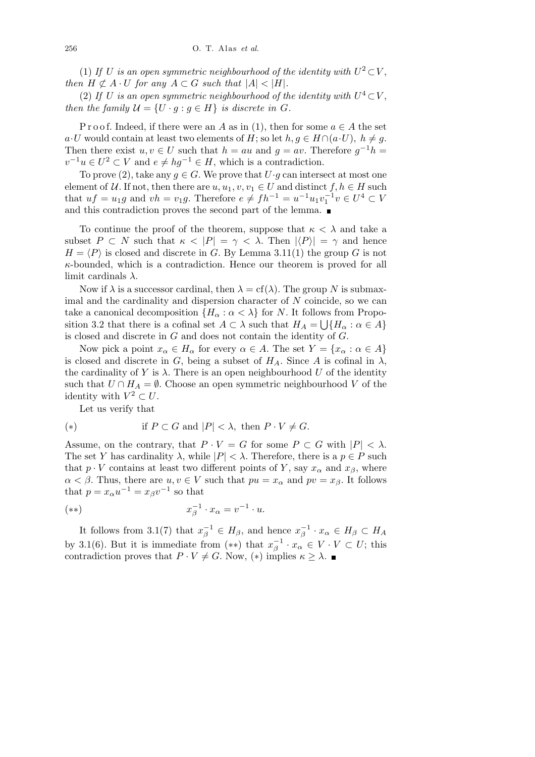(1) If *U* is an open symmetric neighbourhood of the identity with  $U^2 \subset V$ , *then*  $H \not\subset A \cdot U$  *for any*  $A \subset G$  *such that*  $|A| < |H|$ *.* 

(2) If *U* is an open symmetric neighbourhood of the identity with  $U^4 \subset V$ , *then the family*  $\mathcal{U} = \{U \cdot g : g \in H\}$  *is discrete in G*.

P r o o f. Indeed, if there were an *A* as in (1), then for some  $a \in A$  the set  $a \cdot U$  would contain at least two elements of *H*; so let *h, q*  $\in$  *H*  $\cap$  ( $a \cdot U$ )*, h*  $\neq$  *q*. Then there exist  $u, v \in U$  such that  $h = au$  and  $g = av$ . Therefore  $g^{-1}h =$  $v^{-1}u \in U^2 \subset V$  and  $e \neq hg^{-1} \in H$ , which is a contradiction.

To prove (2), take any  $q \in G$ . We prove that  $U \cdot q$  can intersect at most one element of  $U$ . If not, then there are  $u, u_1, v, v_1 \in U$  and distinct  $f, h \in H$  such that  $uf = u_1g$  and  $vh = v_1g$ . Therefore  $e \neq fh^{-1} = u^{-1}u_1v_1^{-1}v \in U^4 \subset V$ and this contradiction proves the second part of the lemma.  $\blacksquare$ 

To continue the proof of the theorem, suppose that *κ < λ* and take a subset  $P \subset N$  such that  $\kappa \langle P| = \gamma \langle \lambda \rangle$ . Then  $|\langle P \rangle| = \gamma$  and hence  $H = \langle P \rangle$  is closed and discrete in *G*. By Lemma 3.11(1) the group *G* is not *κ*-bounded, which is a contradiction. Hence our theorem is proved for all limit cardinals *λ*.

Now if  $\lambda$  is a successor cardinal, then  $\lambda = cf(\lambda)$ . The group N is submaximal and the cardinality and dispersion character of *N* coincide, so we can take a canonical decomposition  ${H_\alpha : \alpha < \lambda}$  for *N*. It follows from Proposition 3.2 that there is a cofinal set  $A \subset \lambda$  such that  $H_A = \bigcup \{H_\alpha : \alpha \in A\}$ is closed and discrete in *G* and does not contain the identity of *G*.

Now pick a point  $x_{\alpha} \in H_{\alpha}$  for every  $\alpha \in A$ . The set  $Y = \{x_{\alpha} : \alpha \in A\}$ is closed and discrete in *G*, being a subset of  $H_A$ . Since *A* is cofinal in  $\lambda$ , the cardinality of  $Y$  is  $\lambda$ . There is an open neighbourhood  $U$  of the identity such that  $U \cap H_A = \emptyset$ . Choose an open symmetric neighbourhood *V* of the identity with  $V^2 \subset U$ .

Let us verify that

(\*) if 
$$
P \subset G
$$
 and  $|P| < \lambda$ , then  $P \cdot V \neq G$ .

Assume, on the contrary, that  $P \cdot V = G$  for some  $P \subset G$  with  $|P| < \lambda$ . The set *Y* has cardinality  $\lambda$ , while  $|P| < \lambda$ . Therefore, there is a  $p \in P$  such that  $p \cdot V$  contains at least two different points of *Y*, say  $x_\alpha$  and  $x_\beta$ , where  $\alpha < \beta$ . Thus, there are  $u, v \in V$  such that  $pu = x_{\alpha}$  and  $pv = x_{\beta}$ . It follows that  $p = x_\alpha u^{-1} = x_\beta v^{-1}$  so that

$$
(*)\qquad \qquad x_{\beta}^{-1}\cdot x_{\alpha}=v^{-1}\cdot u.
$$

It follows from 3.1(7) that  $x_{\beta}^{-1} \in H_{\beta}$ , and hence  $x_{\beta}^{-1} \cdot x_{\alpha} \in H_{\beta} \subset H_{A}$ by 3.1(6). But it is immediate from  $(**)$  that  $x_{\beta}^{-1} \cdot x_{\alpha} \in V \cdot V \subset U$ ; this contradiction proves that  $P \cdot V \neq G$ . Now, (\*) implies  $\kappa \geq \lambda$ .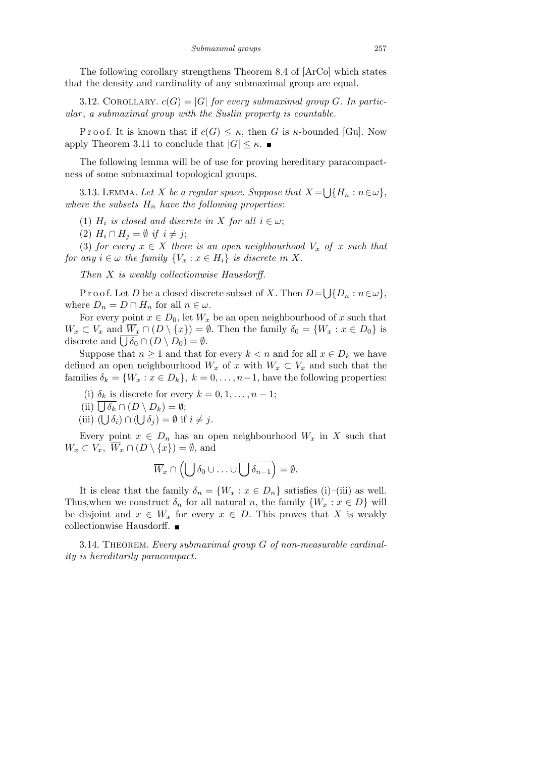The following corollary strengthens Theorem 8.4 of [ArCo] which states that the density and cardinality of any submaximal group are equal.

3.12. COROLLARY.  $c(G) = |G|$  for every submaximal group G. In partic*ular* , *a submaximal group with the Suslin property is countable.*

Proof. It is known that if  $c(G) \leq \kappa$ , then *G* is  $\kappa$ -bounded [Gu]. Now apply Theorem 3.11 to conclude that  $|G| \leq \kappa$ .

The following lemma will be of use for proving hereditary paracompactness of some submaximal topological groups.

3.13. LEMMA. Let X be a regular space. Suppose that  $X =$ S *{H<sup>n</sup>* : *n∈ω}*, *where the subsets*  $H_n$  *have the following properties:* 

- (1)  $H_i$  *is closed and discrete in X for all*  $i \in \omega$ ;
- $(H_i \cap H_j = \emptyset \text{ if } i \neq j;$

(3) *for every*  $x \in X$  *there is an open neighbourhood*  $V_x$  *of*  $x$  *such that for any*  $i \in \omega$  *the family*  $\{V_x : x \in H_i\}$  *is discrete in*  $X$ *.* 

*Then X is weakly collectionwise Hausdorff.*

P r o o f. Let *D* be a closed discrete subset of *X*. Then *D* = S *{D<sup>n</sup>* : *n∈ω}*, where  $D_n = D \cap H_n$  for all  $n \in \omega$ .

For every point  $x \in D_0$ , let  $W_x$  be an open neighbourhood of x such that  $W_x \subset V_x$  and  $\overline{W}_x \cap (D \setminus \{x\}) = \emptyset$ . Then the family  $\delta_0 = \{W_x : x \in D_0\}$  is  $W_x \subset V_x$  and  $W_x \cap (D \setminus \{x\}) = 0$ .<br>discrete and  $\overline{\bigcup \delta_0} \cap (D \setminus D_0) = \emptyset$ .

Suppose that  $n \geq 1$  and that for every  $k < n$  and for all  $x \in D_k$  we have defined an open neighbourhood  $W_x$  of  $x$  with  $W_x \subset V_x$  and such that the families  $\delta_k = \{W_x : x \in D_k\}, k = 0, \ldots, n-1$ , have the following properties:

- (i)  $\delta_k$  is discrete for every  $k = 0, 1, \ldots, n 1;$
- (ii)  $\overline{O_k}$  is discrete for even<br>
(ii)  $\overline{O_k}$   $\cap$   $(D \setminus D_k) = \emptyset$ ;
- (iii)  $(\bigcup \delta_i) \cap (\bigcup \delta_j) = \emptyset$  if  $i \neq j$ .

Every point  $x \in D_n$  has an open neighbourhood  $W_x$  in X such that  $W_x \subset V_x$ ,  $\overline{W}_x \cap (D \setminus \{x\}) = \emptyset$ , and

$$
\overline{W}_x \cap \left(\overline{\bigcup \delta_0} \cup \ldots \cup \overline{\bigcup \delta_{n-1}}\right) = \emptyset.
$$

It is clear that the family  $\delta_n = \{W_x : x \in D_n\}$  satisfies (i)–(iii) as well. Thus, when we construct  $\delta_n$  for all natural *n*, the family  $\{W_x : x \in D\}$  will be disjoint and  $x \in W_x$  for every  $x \in D$ . This proves that X is weakly collectionwise Hausdorff.

3.14. Theorem. *Every submaximal group G of non-measurable cardinality is hereditarily paracompact.*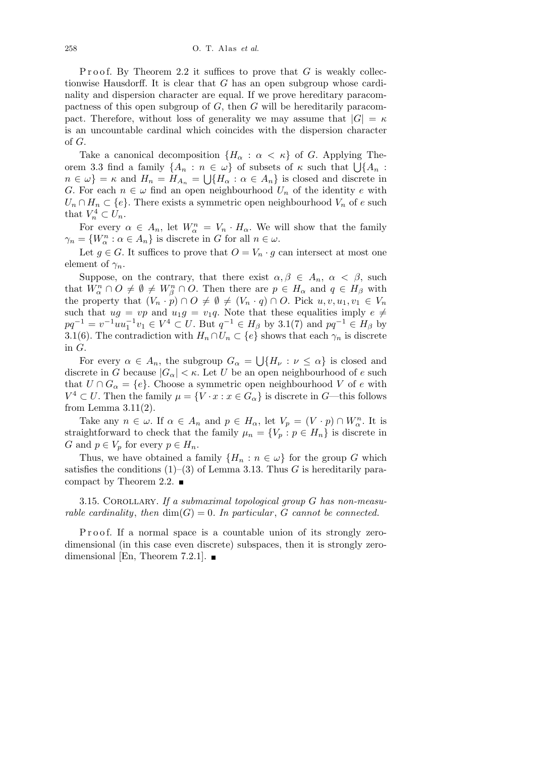Proof. By Theorem 2.2 it suffices to prove that  $G$  is weakly collectionwise Hausdorff. It is clear that *G* has an open subgroup whose cardinality and dispersion character are equal. If we prove hereditary paracompactness of this open subgroup of *G*, then *G* will be hereditarily paracompact. Therefore, without loss of generality we may assume that  $|G| = \kappa$ is an uncountable cardinal which coincides with the dispersion character of *G*.

Take a canonical decomposition  ${H_\alpha : \alpha < \kappa}$  of *G*. Applying The-Take a canonical decomposition  $\{H_{\alpha} : \alpha \leq \kappa\}$  of G. Applying Theorem 3.3 find a family  $\{A_n : n \in \omega\}$  of subsets of  $\kappa$  such that  $\bigcup \{A_n : X \subseteq \omega\}$  $n \in \omega$ } = *κ* and  $H_n = H_{A_n} = \bigcup \{ H_\alpha : \alpha \in A_n \}$  is closed and discrete in *G*. For each  $n \in \omega$  find an open neighbourhood  $U_n$  of the identity *e* with  $U_n \cap H_n \subset \{e\}$ . There exists a symmetric open neighbourhood  $V_n$  of *e* such that  $V_n^4 \subset U_n$ .

For every  $\alpha \in A_n$ , let  $W_\alpha^n = V_n \cdot H_\alpha$ . We will show that the family *γ*<sub>*n*</sub> = { $W_{\alpha}^{n}$  :  $\alpha \in A_{n}$ } is discrete in *G* for all  $n \in \omega$ .

Let  $g \in G$ . It suffices to prove that  $O = V_n \cdot g$  can intersect at most one element of  $\gamma_n$ .

Suppose, on the contrary, that there exist  $\alpha, \beta \in A_n$ ,  $\alpha < \beta$ , such that  $W_{\alpha}^n \cap O \neq \emptyset \neq W_{\beta}^n \cap O$ . Then there are  $p \in H_{\alpha}$  and  $q \in H_{\beta}$  with the property that  $(V_n \cdot p) \cap O \neq \emptyset \neq (V_n \cdot q) \cap O$ . Pick  $u, v, u_1, v_1 \in V_n$ such that  $ug = vp$  and  $u_1g = v_1q$ . Note that these equalities imply  $e \neq$  $pq^{-1} = v^{-1}uu_1^{-1}v_1 \in V^4 \subset U$ . But  $q^{-1} \in H_\beta$  by 3.1(7) and  $pq^{-1} \in H_\beta$  by 3.1(6). The contradiction with  $H_n \cap U_n \subset \{e\}$  shows that each  $\gamma_n$  is discrete in *G*. S

For every  $\alpha \in A_n$ , the subgroup  $G_{\alpha} =$  ${H_\nu : \nu \leq \alpha}$  is closed and discrete in *G* because  $|G_{\alpha}| < \kappa$ . Let *U* be an open neighbourhood of *e* such that  $U \cap G_{\alpha} = \{e\}$ . Choose a symmetric open neighbourhood *V* of *e* with  $V^4 \subset U$ . Then the family  $\mu = \{V \cdot x : x \in G_\alpha\}$  is discrete in *G*—this follows from Lemma  $3.11(2)$ .

Take any  $n \in \omega$ . If  $\alpha \in A_n$  and  $p \in H_\alpha$ , let  $V_p = (V \cdot p) \cap W_\alpha^n$ . It is straightforward to check that the family  $\mu_n = \{V_p : p \in H_n\}$  is discrete in *G* and  $p \in V_p$  for every  $p \in H_n$ .

Thus, we have obtained a family  ${H_n : n \in \omega}$  for the group *G* which satisfies the conditions  $(1)$ – $(3)$  of Lemma 3.13. Thus *G* is hereditarily paracompact by Theorem 2.2.  $\blacksquare$ 

3.15. Corollary. *If a submaximal topological group G has non-measurable cardinality, then*  $dim(G) = 0$ *. In particular, G cannot be connected.* 

P roof. If a normal space is a countable union of its strongly zerodimensional (in this case even discrete) subspaces, then it is strongly zerodimensional [En, Theorem 7.2.1].  $\blacksquare$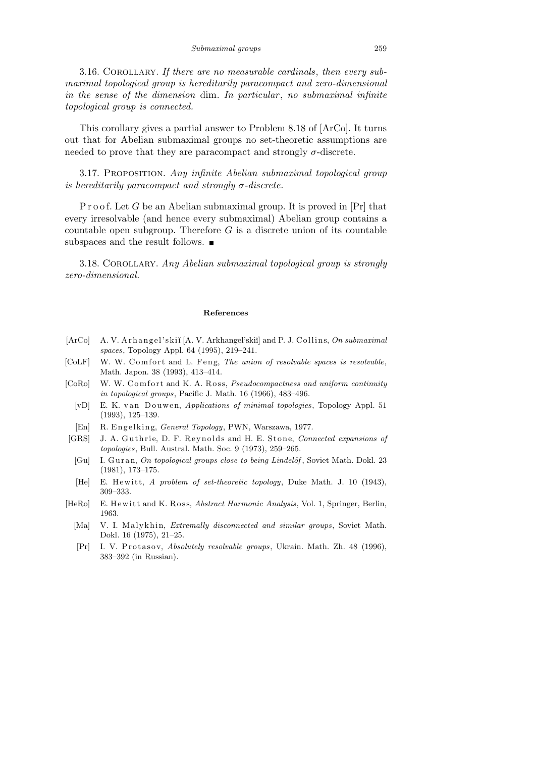3.16. Corollary. *If there are no measurable cardinals*, *then every submaximal topological group is hereditarily paracompact and zero-dimensional in the sense of the dimension* dim*. In particular* , *no submaximal infinite topological group is connected.*

This corollary gives a partial answer to Problem 8.18 of [ArCo]. It turns out that for Abelian submaximal groups no set-theoretic assumptions are needed to prove that they are paracompact and strongly  $\sigma$ -discrete.

3.17. Proposition. *Any infinite Abelian submaximal topological group is hereditarily paracompact and strongly σ-discrete.*

P r o o f. Let *G* be an Abelian submaximal group. It is proved in [Pr] that every irresolvable (and hence every submaximal) Abelian group contains a countable open subgroup. Therefore *G* is a discrete union of its countable subspaces and the result follows.  $\blacksquare$ 

3.18. Corollary. *Any Abelian submaximal topological group is strongly zero-dimensional.*

## **References**

- [ArCo] A. V. A r h a n g el' s ki˘ı [A. V. Arkhangel'ski˘ı] and P. J. C olli n s, *On submaximal spaces*, Topology Appl. 64 (1995), 219–241.
- [CoLF] W. W. Comfort and L. Feng, *The union of resolvable spaces is resolvable*, Math. Japon. 38 (1993), 413–414.
- [CoRo] W. W. Comfort and K. A. Ross, *Pseudocompactness and uniform continuity in topological groups*, Pacific J. Math. 16 (1966), 483–496.
	- [vD] E. K. van Douwen, *Applications of minimal topologies*, Topology Appl. 51 (1993), 125–139.
	- [En] R. E n g el ki n g, *General Topology*, PWN, Warszawa, 1977.
- [GRS] J. A. Guthrie, D. F. Reynolds and H. E. Stone, *Connected expansions of topologies*, Bull. Austral. Math. Soc. 9 (1973), 259–265.
- [Gu] I. Guran, *On topological groups close to being Lindelöf*, Soviet Math. Dokl. 23 (1981), 173–175.
- [He] E. H ewi t t, *A problem of set-theoretic topology*, Duke Math. J. 10 (1943), 309–333.
- [HeRo] E. Hewitt and K. Ross, *Abstract Harmonic Analysis*, Vol. 1, Springer, Berlin, 1963.
	- [Ma] V. I. Malykhin, *Extremally disconnected and similar groups*, Soviet Math. Dokl. 16 (1975), 21–25.
	- [Pr] I. V. Protasov, *Absolutely resolvable groups*, Ukrain. Math. Zh. 48 (1996), 383–392 (in Russian).